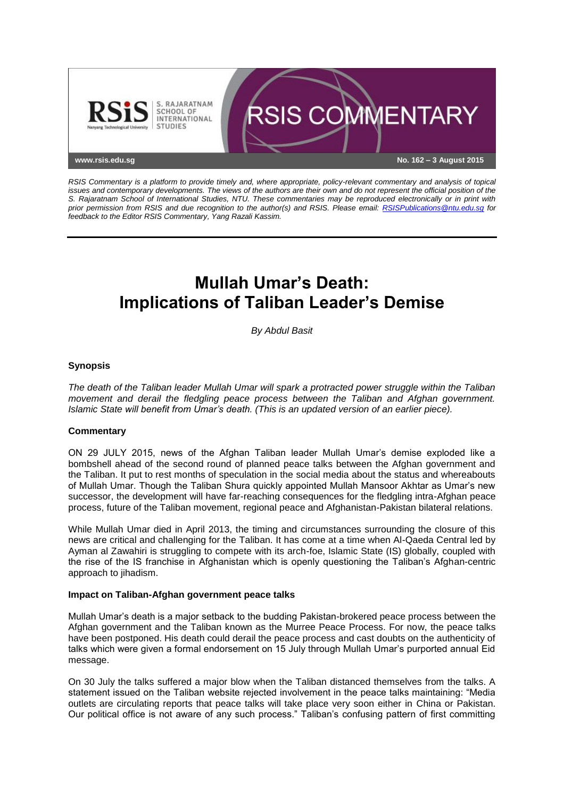

*RSIS Commentary is a platform to provide timely and, where appropriate, policy-relevant commentary and analysis of topical issues and contemporary developments. The views of the authors are their own and do not represent the official position of the S. Rajaratnam School of International Studies, NTU. These commentaries may be reproduced electronically or in print with prior permission from RSIS and due recognition to the author(s) and RSIS. Please email: [RSISPublications@ntu.edu.sg](mailto:RSISPublications@ntu.edu.sg) for feedback to the Editor RSIS Commentary, Yang Razali Kassim.*

# **Mullah Umar's Death: Implications of Taliban Leader's Demise**

*By Abdul Basit*

## **Synopsis**

*The death of the Taliban leader Mullah Umar will spark a protracted power struggle within the Taliban movement and derail the fledgling peace process between the Taliban and Afghan government. Islamic State will benefit from Umar's death. (This is an updated version of an earlier piece).*

## **Commentary**

ON 29 JULY 2015, news of the Afghan Taliban leader Mullah Umar's demise exploded like a bombshell ahead of the second round of planned peace talks between the Afghan government and the Taliban. It put to rest months of speculation in the social media about the status and whereabouts of Mullah Umar. Though the Taliban Shura quickly appointed Mullah Mansoor Akhtar as Umar's new successor, the development will have far-reaching consequences for the fledgling intra-Afghan peace process, future of the Taliban movement, regional peace and Afghanistan-Pakistan bilateral relations.

While Mullah Umar died in April 2013, the timing and circumstances surrounding the closure of this news are critical and challenging for the Taliban. It has come at a time when Al-Qaeda Central led by Ayman al Zawahiri is struggling to compete with its arch-foe, Islamic State (IS) globally, coupled with the rise of the IS franchise in Afghanistan which is openly questioning the Taliban's Afghan-centric approach to jihadism.

### **Impact on Taliban-Afghan government peace talks**

Mullah Umar's death is a major setback to the budding Pakistan-brokered peace process between the Afghan government and the Taliban known as the Murree Peace Process. For now, the peace talks have been postponed. His death could derail the peace process and cast doubts on the authenticity of talks which were given a formal endorsement on 15 July through Mullah Umar's purported annual Eid message.

On 30 July the talks suffered a major blow when the Taliban distanced themselves from the talks. A statement issued on the Taliban website rejected involvement in the peace talks maintaining: "Media outlets are circulating reports that peace talks will take place very soon either in China or Pakistan. Our political office is not aware of any such process." Taliban's confusing pattern of first committing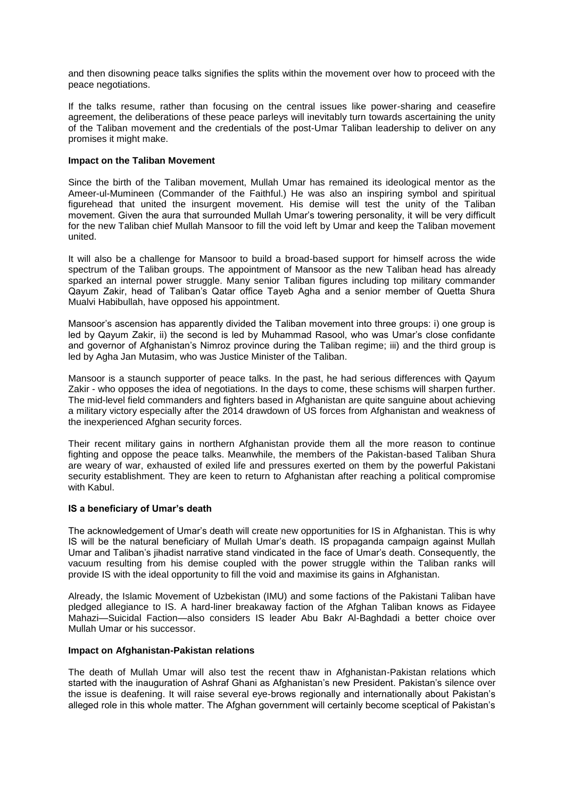and then disowning peace talks signifies the splits within the movement over how to proceed with the peace negotiations.

If the talks resume, rather than focusing on the central issues like power-sharing and ceasefire agreement, the deliberations of these peace parleys will inevitably turn towards ascertaining the unity of the Taliban movement and the credentials of the post-Umar Taliban leadership to deliver on any promises it might make.

### **Impact on the Taliban Movement**

Since the birth of the Taliban movement, Mullah Umar has remained its ideological mentor as the Ameer-ul-Mumineen (Commander of the Faithful.) He was also an inspiring symbol and spiritual figurehead that united the insurgent movement. His demise will test the unity of the Taliban movement. Given the aura that surrounded Mullah Umar's towering personality, it will be very difficult for the new Taliban chief Mullah Mansoor to fill the void left by Umar and keep the Taliban movement united.

It will also be a challenge for Mansoor to build a broad-based support for himself across the wide spectrum of the Taliban groups. The appointment of Mansoor as the new Taliban head has already sparked an internal power struggle. Many senior Taliban figures including top military commander Qayum Zakir, head of Taliban's Qatar office Tayeb Agha and a senior member of Quetta Shura Mualvi Habibullah, have opposed his appointment.

Mansoor's ascension has apparently divided the Taliban movement into three groups: i) one group is led by Qayum Zakir, ii) the second is led by Muhammad Rasool, who was Umar's close confidante and governor of Afghanistan's Nimroz province during the Taliban regime; iii) and the third group is led by Agha Jan Mutasim, who was Justice Minister of the Taliban.

Mansoor is a staunch supporter of peace talks. In the past, he had serious differences with Qayum Zakir - who opposes the idea of negotiations. In the days to come, these schisms will sharpen further. The mid-level field commanders and fighters based in Afghanistan are quite sanguine about achieving a military victory especially after the 2014 drawdown of US forces from Afghanistan and weakness of the inexperienced Afghan security forces.

Their recent military gains in northern Afghanistan provide them all the more reason to continue fighting and oppose the peace talks. Meanwhile, the members of the Pakistan-based Taliban Shura are weary of war, exhausted of exiled life and pressures exerted on them by the powerful Pakistani security establishment. They are keen to return to Afghanistan after reaching a political compromise with Kabul.

#### **IS a beneficiary of Umar's death**

The acknowledgement of Umar's death will create new opportunities for IS in Afghanistan. This is why IS will be the natural beneficiary of Mullah Umar's death. IS propaganda campaign against Mullah Umar and Taliban's jihadist narrative stand vindicated in the face of Umar's death. Consequently, the vacuum resulting from his demise coupled with the power struggle within the Taliban ranks will provide IS with the ideal opportunity to fill the void and maximise its gains in Afghanistan.

Already, the Islamic Movement of Uzbekistan (IMU) and some factions of the Pakistani Taliban have pledged allegiance to IS. A hard-liner breakaway faction of the Afghan Taliban knows as Fidayee Mahazi—Suicidal Faction—also considers IS leader Abu Bakr Al-Baghdadi a better choice over Mullah Umar or his successor.

### **Impact on Afghanistan-Pakistan relations**

The death of Mullah Umar will also test the recent thaw in Afghanistan-Pakistan relations which started with the inauguration of Ashraf Ghani as Afghanistan's new President. Pakistan's silence over the issue is deafening. It will raise several eye-brows regionally and internationally about Pakistan's alleged role in this whole matter. The Afghan government will certainly become sceptical of Pakistan's